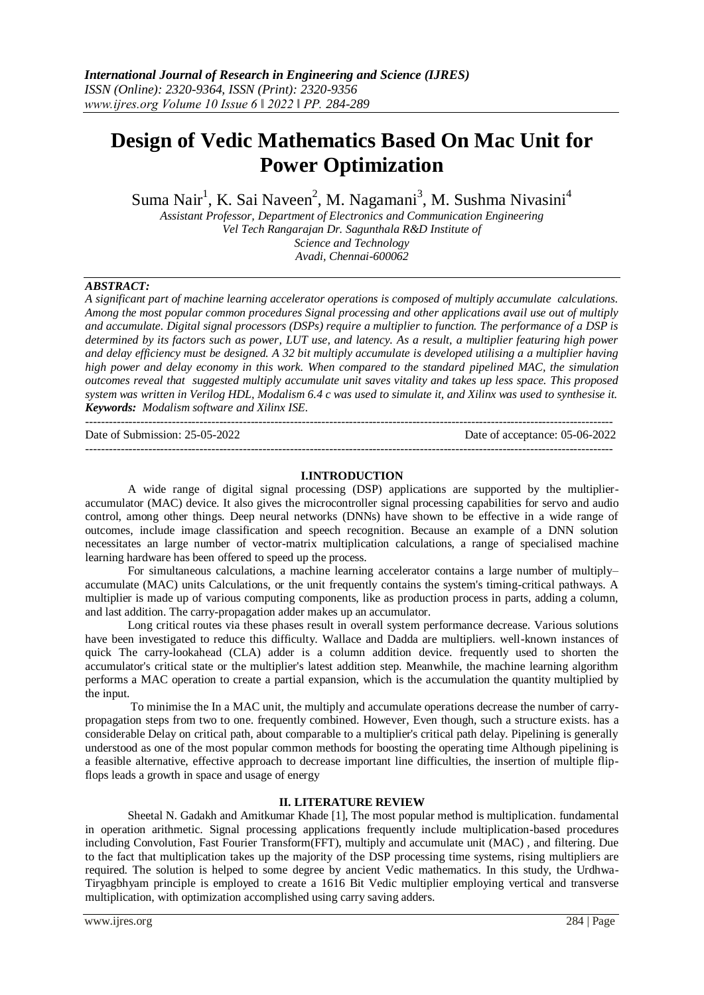# **Design of Vedic Mathematics Based On Mac Unit for Power Optimization**

Suma Nair<sup>1</sup>, K. Sai Naveen<sup>2</sup>, M. Nagamani<sup>3</sup>, M. Sushma Nivasini<sup>4</sup>

*Assistant Professor, Department of Electronics and Communication Engineering Vel Tech Rangarajan Dr. Sagunthala R&D Institute of Science and Technology*

*Avadi, Chennai-600062*

# *ABSTRACT:*

*A significant part of machine learning accelerator operations is composed of multiply accumulate calculations. Among the most popular common procedures Signal processing and other applications avail use out of multiply and accumulate. Digital signal processors (DSPs) require a multiplier to function. The performance of a DSP is determined by its factors such as power, LUT use, and latency. As a result, a multiplier featuring high power and delay efficiency must be designed. A 32 bit multiply accumulate is developed utilising a a multiplier having high power and delay economy in this work. When compared to the standard pipelined MAC, the simulation outcomes reveal that suggested multiply accumulate unit saves vitality and takes up less space. This proposed system was written in Verilog HDL, Modalism 6.4 c was used to simulate it, and Xilinx was used to synthesise it. Keywords: Modalism software and Xilinx ISE.*

-------------------------------------------------------------------------------------------------------------------------------------- Date of Submission: 25-05-2022 Date of acceptance: 05-06-2022 --------------------------------------------------------------------------------------------------------------------------------------

## **I.INTRODUCTION**

A wide range of digital signal processing (DSP) applications are supported by the multiplieraccumulator (MAC) device. It also gives the microcontroller signal processing capabilities for servo and audio control, among other things. Deep neural networks (DNNs) have shown to be effective in a wide range of outcomes, include image classification and speech recognition. Because an example of a DNN solution necessitates an large number of vector-matrix multiplication calculations, a range of specialised machine learning hardware has been offered to speed up the process.

For simultaneous calculations, a machine learning accelerator contains a large number of multiply– accumulate (MAC) units Calculations, or the unit frequently contains the system's timing-critical pathways. A multiplier is made up of various computing components, like as production process in parts, adding a column, and last addition. The carry-propagation adder makes up an accumulator.

Long critical routes via these phases result in overall system performance decrease. Various solutions have been investigated to reduce this difficulty. Wallace and Dadda are multipliers. well-known instances of quick The carry-lookahead (CLA) adder is a column addition device. frequently used to shorten the accumulator's critical state or the multiplier's latest addition step. Meanwhile, the machine learning algorithm performs a MAC operation to create a partial expansion, which is the accumulation the quantity multiplied by the input.

To minimise the In a MAC unit, the multiply and accumulate operations decrease the number of carrypropagation steps from two to one. frequently combined. However, Even though, such a structure exists. has a considerable Delay on critical path, about comparable to a multiplier's critical path delay. Pipelining is generally understood as one of the most popular common methods for boosting the operating time Although pipelining is a feasible alternative, effective approach to decrease important line difficulties, the insertion of multiple flipflops leads a growth in space and usage of energy

## **II. LITERATURE REVIEW**

Sheetal N. Gadakh and Amitkumar Khade [1], The most popular method is multiplication. fundamental in operation arithmetic. Signal processing applications frequently include multiplication-based procedures including Convolution, Fast Fourier Transform(FFT), multiply and accumulate unit (MAC) , and filtering. Due to the fact that multiplication takes up the majority of the DSP processing time systems, rising multipliers are required. The solution is helped to some degree by ancient Vedic mathematics. In this study, the Urdhwa-Tiryagbhyam principle is employed to create a 1616 Bit Vedic multiplier employing vertical and transverse multiplication, with optimization accomplished using carry saving adders.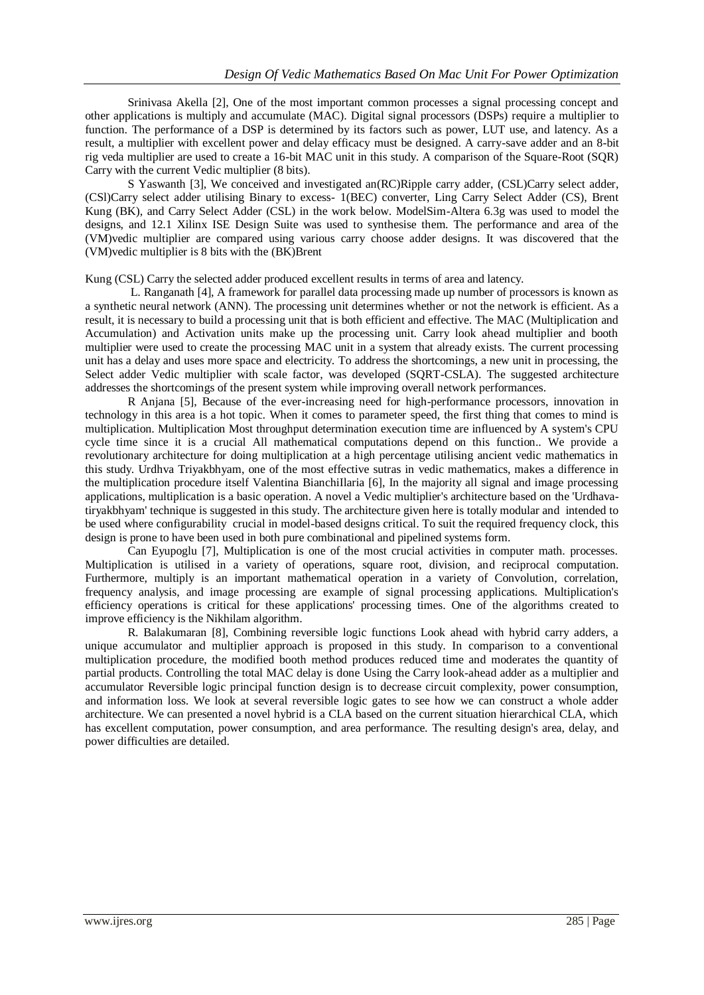Srinivasa Akella [2], One of the most important common processes a signal processing concept and other applications is multiply and accumulate (MAC). Digital signal processors (DSPs) require a multiplier to function. The performance of a DSP is determined by its factors such as power, LUT use, and latency. As a result, a multiplier with excellent power and delay efficacy must be designed. A carry-save adder and an 8-bit rig veda multiplier are used to create a 16-bit MAC unit in this study. A comparison of the Square-Root (SQR) Carry with the current Vedic multiplier (8 bits).

S Yaswanth [3], We conceived and investigated an(RC)Ripple carry adder, (CSL)Carry select adder, (CSl)Carry select adder utilising Binary to excess- 1(BEC) converter, Ling Carry Select Adder (CS), Brent Kung (BK), and Carry Select Adder (CSL) in the work below. ModelSim-Altera 6.3g was used to model the designs, and 12.1 Xilinx ISE Design Suite was used to synthesise them. The performance and area of the (VM)vedic multiplier are compared using various carry choose adder designs. It was discovered that the (VM)vedic multiplier is 8 bits with the (BK)Brent

Kung (CSL) Carry the selected adder produced excellent results in terms of area and latency.

L. Ranganath [4], A framework for parallel data processing made up number of processors is known as a synthetic neural network (ANN). The processing unit determines whether or not the network is efficient. As a result, it is necessary to build a processing unit that is both efficient and effective. The MAC (Multiplication and Accumulation) and Activation units make up the processing unit. Carry look ahead multiplier and booth multiplier were used to create the processing MAC unit in a system that already exists. The current processing unit has a delay and uses more space and electricity. To address the shortcomings, a new unit in processing, the Select adder Vedic multiplier with scale factor, was developed (SQRT-CSLA). The suggested architecture addresses the shortcomings of the present system while improving overall network performances.

R Anjana [5], Because of the ever-increasing need for high-performance processors, innovation in technology in this area is a hot topic. When it comes to parameter speed, the first thing that comes to mind is multiplication. Multiplication Most throughput determination execution time are influenced by A system's CPU cycle time since it is a crucial All mathematical computations depend on this function.. We provide a revolutionary architecture for doing multiplication at a high percentage utilising ancient vedic mathematics in this study. Urdhva Triyakbhyam, one of the most effective sutras in vedic mathematics, makes a difference in the multiplication procedure itself Valentina BianchiIlaria [6], In the majority all signal and image processing applications, multiplication is a basic operation. A novel a Vedic multiplier's architecture based on the 'Urdhavatiryakbhyam' technique is suggested in this study. The architecture given here is totally modular and intended to be used where configurability crucial in model-based designs critical. To suit the required frequency clock, this design is prone to have been used in both pure combinational and pipelined systems form.

Can Eyupoglu [7], Multiplication is one of the most crucial activities in computer math. processes. Multiplication is utilised in a variety of operations, square root, division, and reciprocal computation. Furthermore, multiply is an important mathematical operation in a variety of Convolution, correlation, frequency analysis, and image processing are example of signal processing applications. Multiplication's efficiency operations is critical for these applications' processing times. One of the algorithms created to improve efficiency is the Nikhilam algorithm.

R. Balakumaran [8], Combining reversible logic functions Look ahead with hybrid carry adders, a unique accumulator and multiplier approach is proposed in this study. In comparison to a conventional multiplication procedure, the modified booth method produces reduced time and moderates the quantity of partial products. Controlling the total MAC delay is done Using the Carry look-ahead adder as a multiplier and accumulator Reversible logic principal function design is to decrease circuit complexity, power consumption, and information loss. We look at several reversible logic gates to see how we can construct a whole adder architecture. We can presented a novel hybrid is a CLA based on the current situation hierarchical CLA, which has excellent computation, power consumption, and area performance. The resulting design's area, delay, and power difficulties are detailed.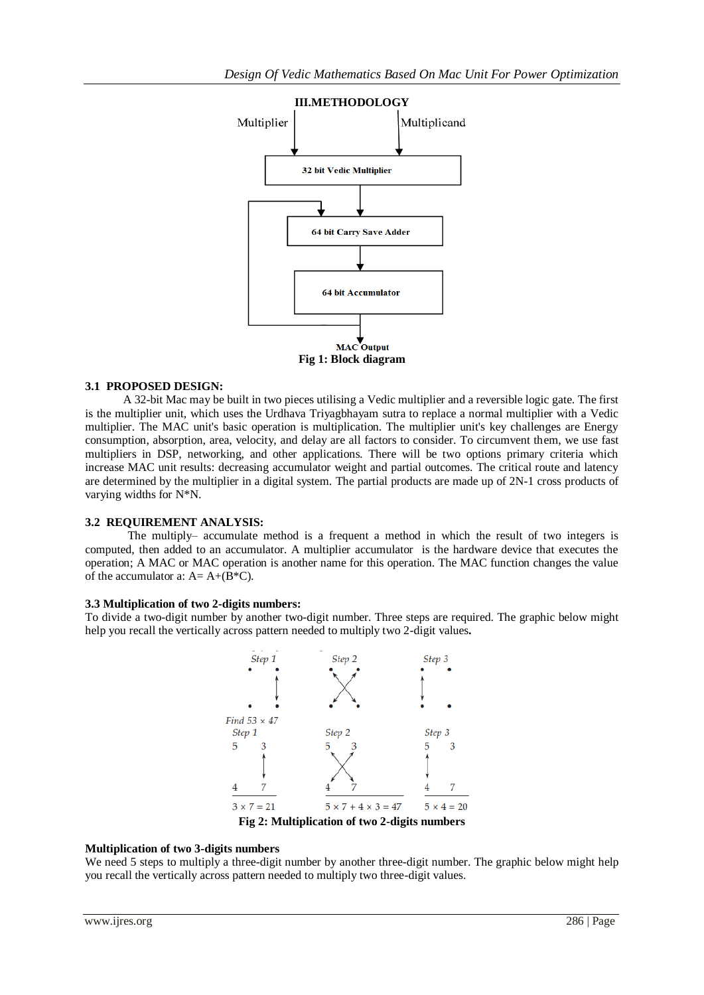

## **3.1 PROPOSED DESIGN:**

A 32-bit Mac may be built in two pieces utilising a Vedic multiplier and a reversible logic gate. The first is the multiplier unit, which uses the Urdhava Triyagbhayam sutra to replace a normal multiplier with a Vedic multiplier. The MAC unit's basic operation is multiplication. The multiplier unit's key challenges are Energy consumption, absorption, area, velocity, and delay are all factors to consider. To circumvent them, we use fast multipliers in DSP, networking, and other applications. There will be two options primary criteria which increase MAC unit results: decreasing accumulator weight and partial outcomes. The critical route and latency are determined by the multiplier in a digital system. The partial products are made up of 2N-1 cross products of varying widths for N\*N.

#### **3.2 REQUIREMENT ANALYSIS:**

The multiply– accumulate method is a frequent a method in which the result of two integers is computed, then added to an accumulator. A multiplier accumulator is the hardware device that executes the operation; A MAC or MAC operation is another name for this operation. The MAC function changes the value of the accumulator a:  $A = A + (B*C)$ .

### **3.3 Multiplication of two 2-digits numbers:**

To divide a two-digit number by another two-digit number. Three steps are required. The graphic below might help you recall the vertically across pattern needed to multiply two 2-digit values**.**



## **Multiplication of two 3-digits numbers**

We need 5 steps to multiply a three-digit number by another three-digit number. The graphic below might help you recall the vertically across pattern needed to multiply two three-digit values.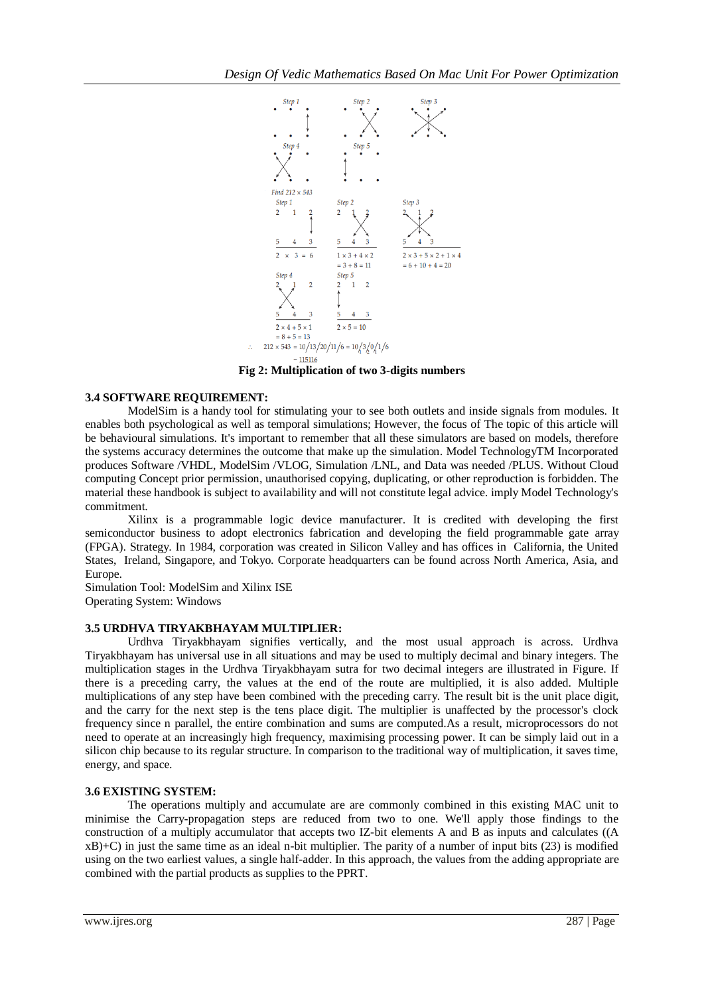

**Fig 2: Multiplication of two 3-digits numbers**

# **3.4 SOFTWARE REQUIREMENT:**

ModelSim is a handy tool for stimulating your to see both outlets and inside signals from modules. It enables both psychological as well as temporal simulations; However, the focus of The topic of this article will be behavioural simulations. It's important to remember that all these simulators are based on models, therefore the systems accuracy determines the outcome that make up the simulation. Model TechnologyTM Incorporated produces Software /VHDL, ModelSim /VLOG, Simulation /LNL, and Data was needed /PLUS. Without Cloud computing Concept prior permission, unauthorised copying, duplicating, or other reproduction is forbidden. The material these handbook is subject to availability and will not constitute legal advice. imply Model Technology's commitment.

Xilinx is a programmable logic device manufacturer. It is credited with developing the first semiconductor business to adopt electronics fabrication and developing the field programmable gate array (FPGA). Strategy. In 1984, corporation was created in Silicon Valley and has offices in California, the United States, Ireland, Singapore, and Tokyo. Corporate headquarters can be found across North America, Asia, and Europe.

Simulation Tool: ModelSim and Xilinx ISE Operating System: Windows

# **3.5 URDHVA TIRYAKBHAYAM MULTIPLIER:**

Urdhva Tiryakbhayam signifies vertically, and the most usual approach is across. Urdhva Tiryakbhayam has universal use in all situations and may be used to multiply decimal and binary integers. The multiplication stages in the Urdhva Tiryakbhayam sutra for two decimal integers are illustrated in Figure. If there is a preceding carry, the values at the end of the route are multiplied, it is also added. Multiple multiplications of any step have been combined with the preceding carry. The result bit is the unit place digit, and the carry for the next step is the tens place digit. The multiplier is unaffected by the processor's clock frequency since n parallel, the entire combination and sums are computed.As a result, microprocessors do not need to operate at an increasingly high frequency, maximising processing power. It can be simply laid out in a silicon chip because to its regular structure. In comparison to the traditional way of multiplication, it saves time, energy, and space.

# **3.6 EXISTING SYSTEM:**

The operations multiply and accumulate are are commonly combined in this existing MAC unit to minimise the Carry-propagation steps are reduced from two to one. We'll apply those findings to the construction of a multiply accumulator that accepts two IZ-bit elements A and B as inputs and calculates ((A  $xB$ +C) in just the same time as an ideal n-bit multiplier. The parity of a number of input bits (23) is modified using on the two earliest values, a single half-adder. In this approach, the values from the adding appropriate are combined with the partial products as supplies to the PPRT.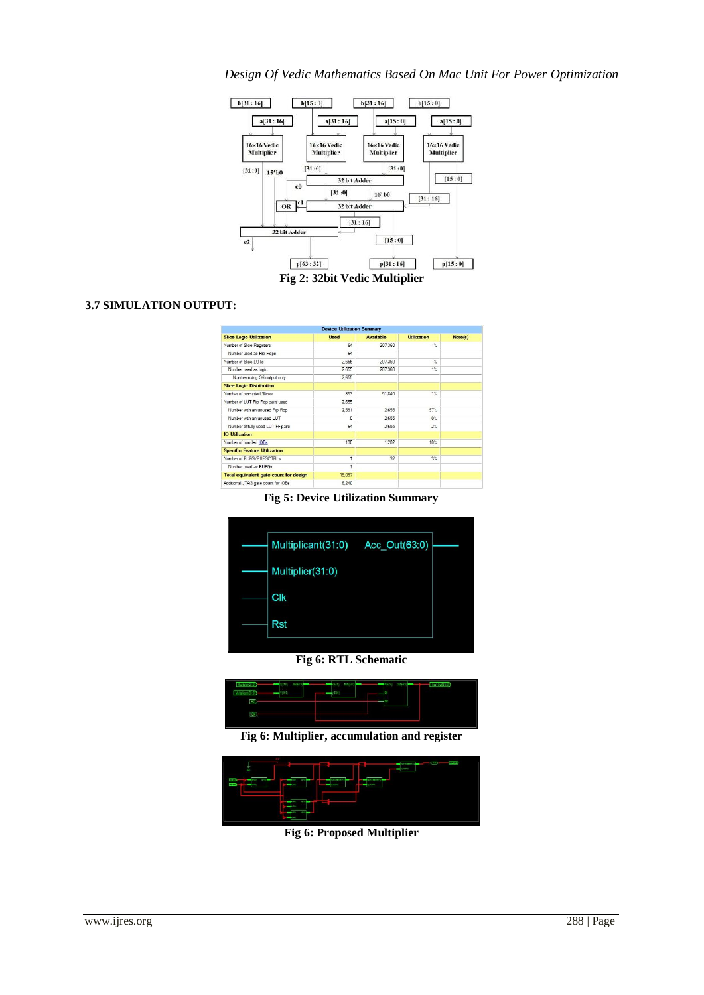

**Fig 2: 32bit Vedic Multiplier**

# **3.7 SIMULATION OUTPUT:**

| <b>Device Utilization Summary</b>      |             |                  |                    |         |
|----------------------------------------|-------------|------------------|--------------------|---------|
| <b>Slice Logic Utilization</b>         | <b>Used</b> | <b>Available</b> | <b>Utilization</b> | Note(s) |
| Number of Slice Registers              | 64          | 207,360          | $1\%$              |         |
| Number used as Flip Flops              | 64          |                  |                    |         |
| Number of Slice   UTs                  | 2.655       | 207.360          | 1%                 |         |
| Number used as logic                   | 2,655       | 207,360          | 1%                 |         |
| Number using O6 output only            | 2.655       |                  |                    |         |
| <b>Slice Logic Distribution</b>        |             |                  |                    |         |
| Number of accupied Slices              | 853         | 51.840           | $1\%$              |         |
| Number of LUT Rip Rop pairs used       | 2,655       |                  |                    |         |
| Number with an unused Flip Flop        | 2.591       | 2.655            | 97%                |         |
| Number with an unused LUT              | n           | 2.655            | $0\%$              |         |
| Number of fully used LUT-FF pairs      | 64          | 2.655            | $2\%$              |         |
| <b>IO Utilization</b>                  |             |                  |                    |         |
| Number of bonded IOBs                  | 130         | 1,202            | 10%                |         |
| <b>Specific Feature Utilization</b>    |             |                  |                    |         |
| Number of BUFG/BUFGCTRLs               | 1           | 32               | $3\%$              |         |
| Number used as BUFGs                   |             |                  |                    |         |
| Total equivalent gate count for design | 19,097      |                  |                    |         |
| Additional JTAG gate count for IOBs    | 6.240       |                  |                    |         |

**Fig 5: Device Utilization Summary**



**Fig 6: RTL Schematic**



**Fig 6: Multiplier, accumulation and register**



**Fig 6: Proposed Multiplier**